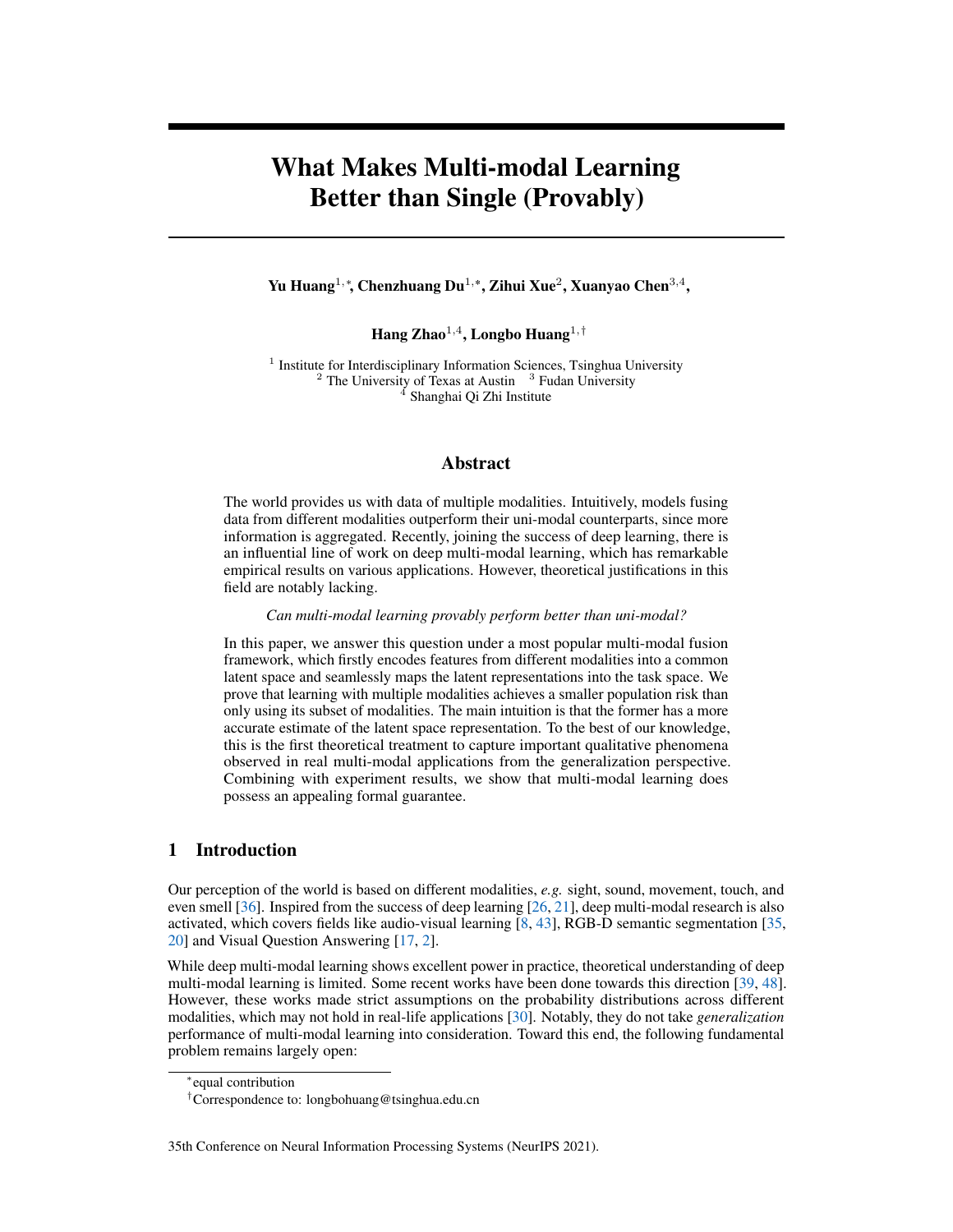# What Makes Multi-modal Learning Better than Single (Provably)

Yu Huang<sup>1,</sup>\*, Chenzhuang Du<sup>1,</sup>\*, Zihui Xue<sup>2</sup>, Xuanyao Chen<sup>3,4</sup>,

Hang Zhao $^{1,4}$ , Longbo Huang $^{1,\dagger}$ 

<sup>1</sup> Institute for Interdisciplinary Information Sciences, Tsinghua University  $2$  The University of Texas at Austin  $3$  Fudan University <sup>4</sup> Shanghai Qi Zhi Institute

## Abstract

The world provides us with data of multiple modalities. Intuitively, models fusing data from different modalities outperform their uni-modal counterparts, since more information is aggregated. Recently, joining the success of deep learning, there is an influential line of work on deep multi-modal learning, which has remarkable empirical results on various applications. However, theoretical justifications in this field are notably lacking.

*Can multi-modal learning provably perform better than uni-modal?*

In this paper, we answer this question under a most popular multi-modal fusion framework, which firstly encodes features from different modalities into a common latent space and seamlessly maps the latent representations into the task space. We prove that learning with multiple modalities achieves a smaller population risk than only using its subset of modalities. The main intuition is that the former has a more accurate estimate of the latent space representation. To the best of our knowledge, this is the first theoretical treatment to capture important qualitative phenomena observed in real multi-modal applications from the generalization perspective. Combining with experiment results, we show that multi-modal learning does possess an appealing formal guarantee.

# 1 Introduction

Our perception of the world is based on different modalities, *e.g.* sight, sound, movement, touch, and even smell [\[36\]](#page-11-0). Inspired from the success of deep learning [\[26,](#page-11-1) [21\]](#page-11-2), deep multi-modal research is also activated, which covers fields like audio-visual learning [\[8,](#page-10-0) [43\]](#page-12-0), RGB-D semantic segmentation [\[35,](#page-11-3) [20\]](#page-11-4) and Visual Question Answering [\[17,](#page-10-1) [2\]](#page-10-2).

While deep multi-modal learning shows excellent power in practice, theoretical understanding of deep multi-modal learning is limited. Some recent works have been done towards this direction [\[39,](#page-12-1) [48\]](#page-12-2). However, these works made strict assumptions on the probability distributions across different modalities, which may not hold in real-life applications [\[30\]](#page-11-5). Notably, they do not take *generalization* performance of multi-modal learning into consideration. Toward this end, the following fundamental problem remains largely open:

#### 35th Conference on Neural Information Processing Systems (NeurIPS 2021).

<sup>∗</sup> equal contribution

<sup>†</sup>Correspondence to: longbohuang@tsinghua.edu.cn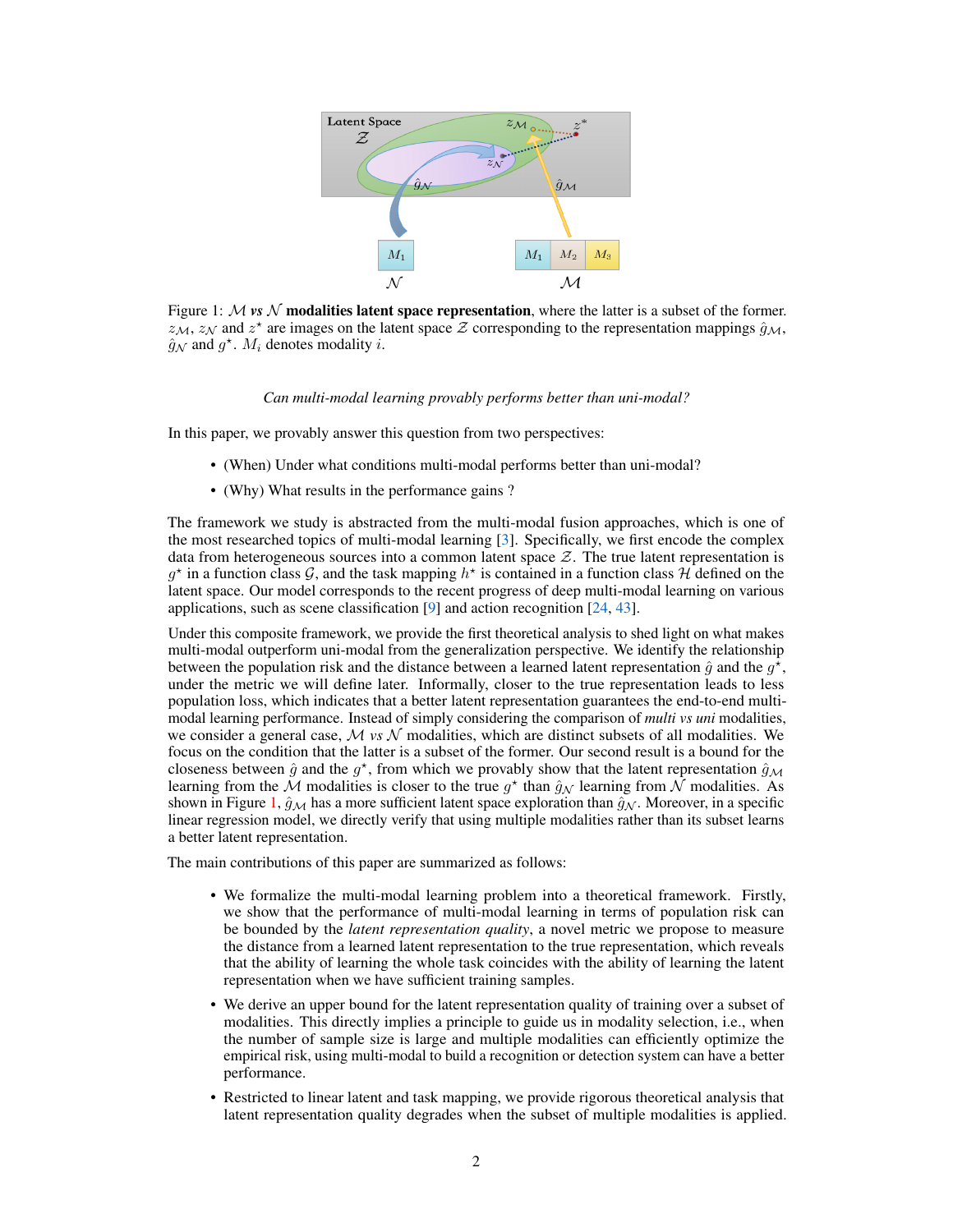<span id="page-1-0"></span>

Figure 1:  $M$  *vs*  $N$  **modalities latent space representation**, where the latter is a subset of the former.  $z_M$ ,  $z_N$  and  $z^*$  are images on the latent space  $\mathcal Z$  corresponding to the representation mappings  $\hat{g}_M$ ,  $\hat{g}_{\mathcal{N}}$  and  $g^*$ .  $M_i$  denotes modality *i*.

#### *Can multi-modal learning provably performs better than uni-modal?*

In this paper, we provably answer this question from two perspectives:

- (When) Under what conditions multi-modal performs better than uni-modal?
- (Why) What results in the performance gains ?

The framework we study is abstracted from the multi-modal fusion approaches, which is one of the most researched topics of multi-modal learning [\[3\]](#page-10-3). Specifically, we first encode the complex data from heterogeneous sources into a common latent space  $Z$ . The true latent representation is  $g^*$  in a function class  $\mathcal{G}$ , and the task mapping  $h^*$  is contained in a function class  $\mathcal{H}$  defined on the latent space. Our model corresponds to the recent progress of deep multi-modal learning on various applications, such as scene classification [\[9\]](#page-10-4) and action recognition [\[24,](#page-11-6) [43\]](#page-12-0).

Under this composite framework, we provide the first theoretical analysis to shed light on what makes multi-modal outperform uni-modal from the generalization perspective. We identify the relationship between the population risk and the distance between a learned latent representation  $\hat{g}$  and the  $g^{\star}$ , under the metric we will define later. Informally, closer to the true representation leads to less population loss, which indicates that a better latent representation guarantees the end-to-end multimodal learning performance. Instead of simply considering the comparison of *multi vs uni* modalities, we consider a general case,  $M \text{ vs } \mathcal{N}$  modalities, which are distinct subsets of all modalities. We focus on the condition that the latter is a subset of the former. Our second result is a bound for the closeness between  $\hat{g}$  and the  $g^*$ , from which we provably show that the latent representation  $\hat{g}_M$ learning from the  $\mathcal M$  modalities is closer to the true  $g^*$  than  $\hat{g}_\mathcal N$  learning from  $\bar{\mathcal N}$  modalities. As shown in Figure [1,](#page-1-0)  $\hat{g}_{\mathcal{M}}$  has a more sufficient latent space exploration than  $\hat{g}_{\mathcal{N}}$ . Moreover, in a specific linear regression model, we directly verify that using multiple modalities rather than its subset learns a better latent representation.

The main contributions of this paper are summarized as follows:

- We formalize the multi-modal learning problem into a theoretical framework. Firstly, we show that the performance of multi-modal learning in terms of population risk can be bounded by the *latent representation quality*, a novel metric we propose to measure the distance from a learned latent representation to the true representation, which reveals that the ability of learning the whole task coincides with the ability of learning the latent representation when we have sufficient training samples.
- We derive an upper bound for the latent representation quality of training over a subset of modalities. This directly implies a principle to guide us in modality selection, i.e., when the number of sample size is large and multiple modalities can efficiently optimize the empirical risk, using multi-modal to build a recognition or detection system can have a better performance.
- Restricted to linear latent and task mapping, we provide rigorous theoretical analysis that latent representation quality degrades when the subset of multiple modalities is applied.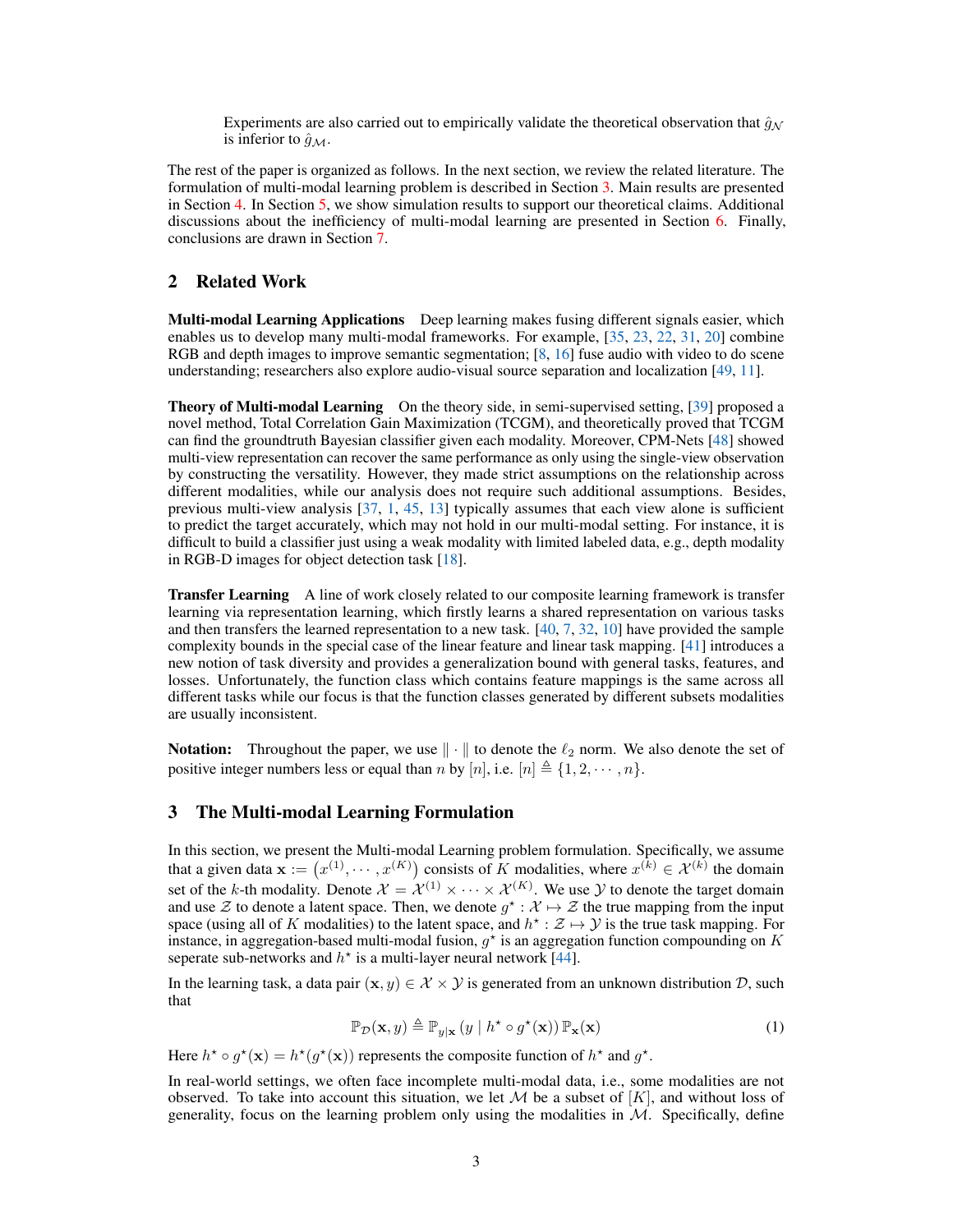Experiments are also carried out to empirically validate the theoretical observation that  $\hat{g}_N$ is inferior to  $\hat{g}_M$ .

The rest of the paper is organized as follows. In the next section, we review the related literature. The formulation of multi-modal learning problem is described in Section [3.](#page-2-0) Main results are presented in Section [4.](#page-3-0) In Section [5,](#page-6-0) we show simulation results to support our theoretical claims. Additional discussions about the inefficiency of multi-modal learning are presented in Section [6.](#page-9-0) Finally, conclusions are drawn in Section [7.](#page-9-1)

# 2 Related Work

Multi-modal Learning Applications Deep learning makes fusing different signals easier, which enables us to develop many multi-modal frameworks. For example, [\[35,](#page-11-3) [23,](#page-11-7) [22,](#page-11-8) [31,](#page-11-9) [20\]](#page-11-4) combine RGB and depth images to improve semantic segmentation; [\[8,](#page-10-0) [16\]](#page-10-5) fuse audio with video to do scene understanding; researchers also explore audio-visual source separation and localization [\[49,](#page-12-3) [11\]](#page-10-6).

**Theory of Multi-modal Learning** On the theory side, in semi-supervised setting, [\[39\]](#page-12-1) proposed a novel method, Total Correlation Gain Maximization (TCGM), and theoretically proved that TCGM can find the groundtruth Bayesian classifier given each modality. Moreover, CPM-Nets [\[48\]](#page-12-2) showed multi-view representation can recover the same performance as only using the single-view observation by constructing the versatility. However, they made strict assumptions on the relationship across different modalities, while our analysis does not require such additional assumptions. Besides, previous multi-view analysis [\[37,](#page-11-10) [1,](#page-10-7) [45,](#page-12-4) [13\]](#page-10-8) typically assumes that each view alone is sufficient to predict the target accurately, which may not hold in our multi-modal setting. For instance, it is difficult to build a classifier just using a weak modality with limited labeled data, e.g., depth modality in RGB-D images for object detection task [\[18\]](#page-10-9).

**Transfer Learning** A line of work closely related to our composite learning framework is transfer learning via representation learning, which firstly learns a shared representation on various tasks and then transfers the learned representation to a new task. [\[40,](#page-12-5) [7,](#page-10-10) [32,](#page-11-11) [10\]](#page-10-11) have provided the sample complexity bounds in the special case of the linear feature and linear task mapping. [\[41\]](#page-12-6) introduces a new notion of task diversity and provides a generalization bound with general tasks, features, and losses. Unfortunately, the function class which contains feature mappings is the same across all different tasks while our focus is that the function classes generated by different subsets modalities are usually inconsistent.

Notation: Throughout the paper, we use  $\|\cdot\|$  to denote the  $\ell_2$  norm. We also denote the set of positive integer numbers less or equal than *n* by [*n*], i.e.  $[n] \triangleq \{1, 2, \dots, n\}.$ 

# <span id="page-2-0"></span>3 The Multi-modal Learning Formulation

In this section, we present the Multi-modal Learning problem formulation. Specifically, we assume that a given data  $\mathbf{x} := (x^{(1)}, \dots, x^{(K)})$  consists of K modalities, where  $x^{(k)} \in \mathcal{X}^{(k)}$  the domain set of the k-th modality. Denote  $\mathcal{X} = \mathcal{X}^{(1)} \times \cdots \times \mathcal{X}^{(K)}$ . We use  $\mathcal{Y}$  to denote the target domain and use  $\mathcal Z$  to denote a latent space. Then, we denote  $g^* : \mathcal X \mapsto \mathcal Z$  the true mapping from the input space (using all of K modalities) to the latent space, and  $h^* : \mathcal{Z} \mapsto \mathcal{Y}$  is the true task mapping. For instance, in aggregation-based multi-modal fusion,  $g^*$  is an aggregation function compounding on K seperate sub-networks and  $h^*$  is a multi-layer neural network [\[44\]](#page-12-7).

In the learning task, a data pair  $(x, y) \in \mathcal{X} \times \mathcal{Y}$  is generated from an unknown distribution  $\mathcal{D}$ , such that

<span id="page-2-1"></span>
$$
\mathbb{P}_{\mathcal{D}}(\mathbf{x}, y) \triangleq \mathbb{P}_{y|\mathbf{x}}(y \mid h^* \circ g^*(\mathbf{x})) \mathbb{P}_{\mathbf{x}}(\mathbf{x}) \tag{1}
$$

Here  $h^* \circ g^*(\mathbf{x}) = h^*(g^*(\mathbf{x}))$  represents the composite function of  $h^*$  and  $g^*$ .

In real-world settings, we often face incomplete multi-modal data, i.e., some modalities are not observed. To take into account this situation, we let  $M$  be a subset of  $[K]$ , and without loss of generality, focus on the learning problem only using the modalities in  $\mathcal{M}$ . Specifically, define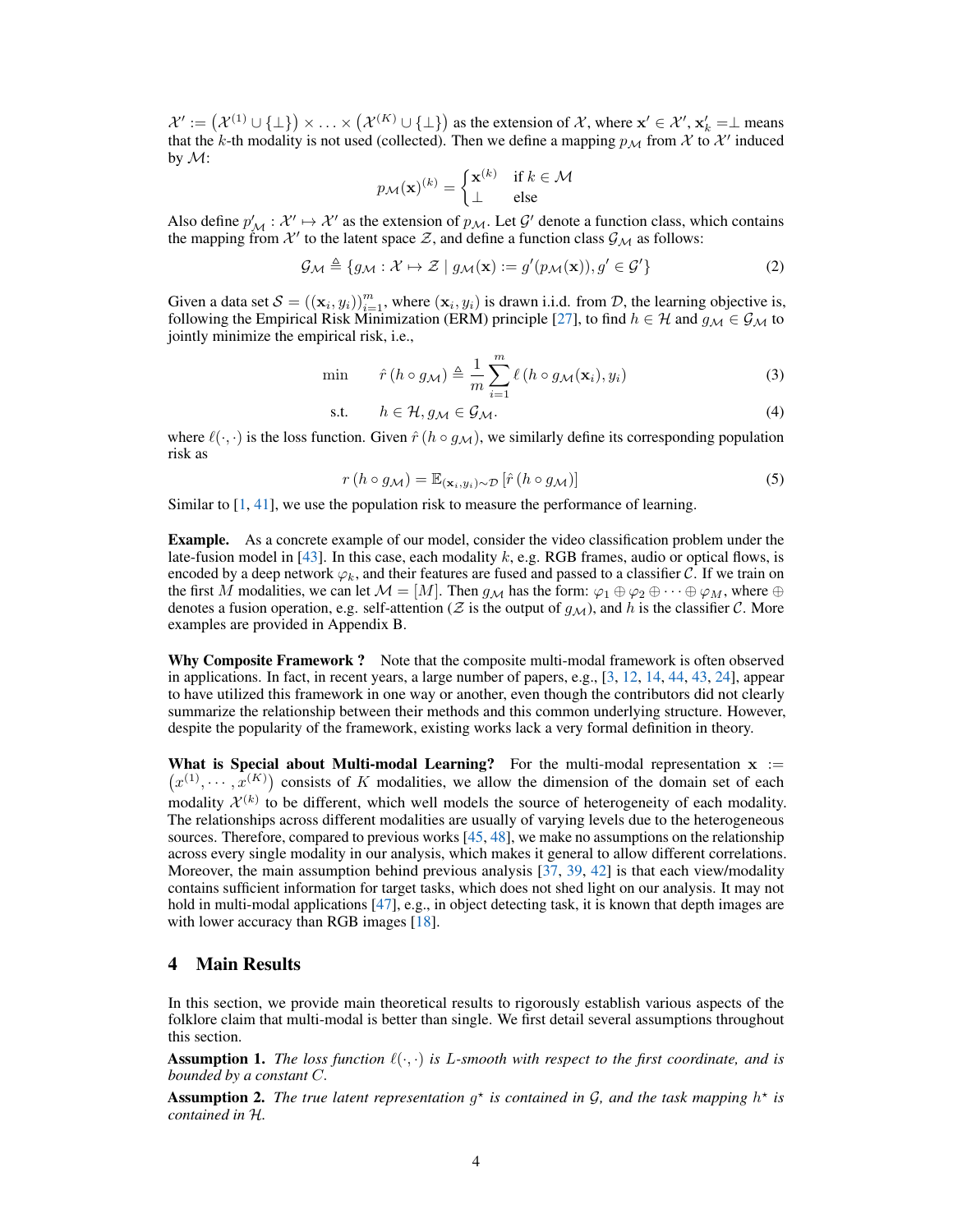$\mathcal{X}' := (\mathcal{X}^{(1)} \cup \{\bot\}) \times \ldots \times (\mathcal{X}^{(K)} \cup \{\bot\})$  as the extension of X, where  $\mathbf{x}' \in \mathcal{X}', \mathbf{x}'_k = \bot$  means that the k-th modality is not used (collected). Then we define a mapping  $p_{\mathcal{M}}$  from  $\mathcal X$  to  $\mathcal X'$  induced by  $\mathcal{M}$ :

$$
p_{\mathcal{M}}(\mathbf{x})^{(k)} = \begin{cases} \mathbf{x}^{(k)} & \text{if } k \in \mathcal{M} \\ \perp & \text{else} \end{cases}
$$

Also define  $p'_M : \mathcal{X}' \mapsto \mathcal{X}'$  as the extension of  $p_M$ . Let  $\mathcal{G}'$  denote a function class, which contains the mapping from X' to the latent space Z, and define a function class  $\mathcal{G}_M$  as follows:

$$
\mathcal{G}_{\mathcal{M}} \triangleq \{ g_{\mathcal{M}} : \mathcal{X} \mapsto \mathcal{Z} \mid g_{\mathcal{M}}(\mathbf{x}) := g'(p_{\mathcal{M}}(\mathbf{x})), g' \in \mathcal{G}' \}
$$
(2)

Given a data set  $S = ((\mathbf{x}_i, y_i))_{i=1}^m$ , where  $(\mathbf{x}_i, y_i)$  is drawn i.i.d. from D, the learning objective is, following the Empirical Risk Minimization (ERM) principle [\[27\]](#page-11-12), to find  $h \in H$  and  $g_M \in \mathcal{G}_M$  to jointly minimize the empirical risk, i.e.,

$$
\min \qquad \hat{r}(h \circ g_{\mathcal{M}}) \triangleq \frac{1}{m} \sum_{i=1}^{m} \ell(h \circ g_{\mathcal{M}}(\mathbf{x}_i), y_i)
$$
\n(3)

$$
\text{s.t.} \qquad h \in \mathcal{H}, g_{\mathcal{M}} \in \mathcal{G}_{\mathcal{M}}.\tag{4}
$$

where  $\ell(\cdot, \cdot)$  is the loss function. Given  $\hat{r}(h \circ g_{\mathcal{M}})$ , we similarly define its corresponding population risk as

$$
r(h \circ g_{\mathcal{M}}) = \mathbb{E}_{(\mathbf{x}_i, y_i) \sim \mathcal{D}} \left[ \hat{r}(h \circ g_{\mathcal{M}}) \right]
$$
 (5)

Similar to [\[1,](#page-10-7) [41\]](#page-12-6), we use the population risk to measure the performance of learning.

Example. As a concrete example of our model, consider the video classification problem under the late-fusion model in  $[43]$ . In this case, each modality k, e.g. RGB frames, audio or optical flows, is encoded by a deep network  $\varphi_k$ , and their features are fused and passed to a classifier C. If we train on the first M modalities, we can let  $\mathcal{M} = [M]$ . Then  $g_{\mathcal{M}}$  has the form:  $\varphi_1 \oplus \varphi_2 \oplus \cdots \oplus \varphi_M$ , where  $\oplus$ denotes a fusion operation, e.g. self-attention ( $Z$  is the output of  $g_M$ ), and h is the classifier C. More examples are provided in Appendix B.

Why Composite Framework ? Note that the composite multi-modal framework is often observed in applications. In fact, in recent years, a large number of papers, e.g., [\[3,](#page-10-3) [12,](#page-10-12) [14,](#page-10-13) [44,](#page-12-7) [43,](#page-12-0) [24\]](#page-11-6), appear to have utilized this framework in one way or another, even though the contributors did not clearly summarize the relationship between their methods and this common underlying structure. However, despite the popularity of the framework, existing works lack a very formal definition in theory.

What is Special about Multi-modal Learning? For the multi-modal representation  $x :=$  $(x^{(1)}, \dots, x^{(K)})$  consists of K modalities, we allow the dimension of the domain set of each modality  $\mathcal{X}^{(k)}$  to be different, which well models the source of heterogeneity of each modality. The relationships across different modalities are usually of varying levels due to the heterogeneous sources. Therefore, compared to previous works  $[45, 48]$  $[45, 48]$  $[45, 48]$ , we make no assumptions on the relationship across every single modality in our analysis, which makes it general to allow different correlations. Moreover, the main assumption behind previous analysis  $[37, 39, 42]$  $[37, 39, 42]$  $[37, 39, 42]$  $[37, 39, 42]$  $[37, 39, 42]$  is that each view/modality contains sufficient information for target tasks, which does not shed light on our analysis. It may not hold in multi-modal applications [\[47\]](#page-12-9), e.g., in object detecting task, it is known that depth images are with lower accuracy than RGB images [\[18\]](#page-10-9).

### <span id="page-3-0"></span>4 Main Results

In this section, we provide main theoretical results to rigorously establish various aspects of the folklore claim that multi-modal is better than single. We first detail several assumptions throughout this section.

<span id="page-3-1"></span>Assumption 1. *The loss function* ℓ(·, ·) *is* L*-smooth with respect to the first coordinate, and is bounded by a constant* C.

<span id="page-3-2"></span>**Assumption 2.** The true latent representation  $g^*$  is contained in G, and the task mapping  $h^*$  is *contained in* H*.*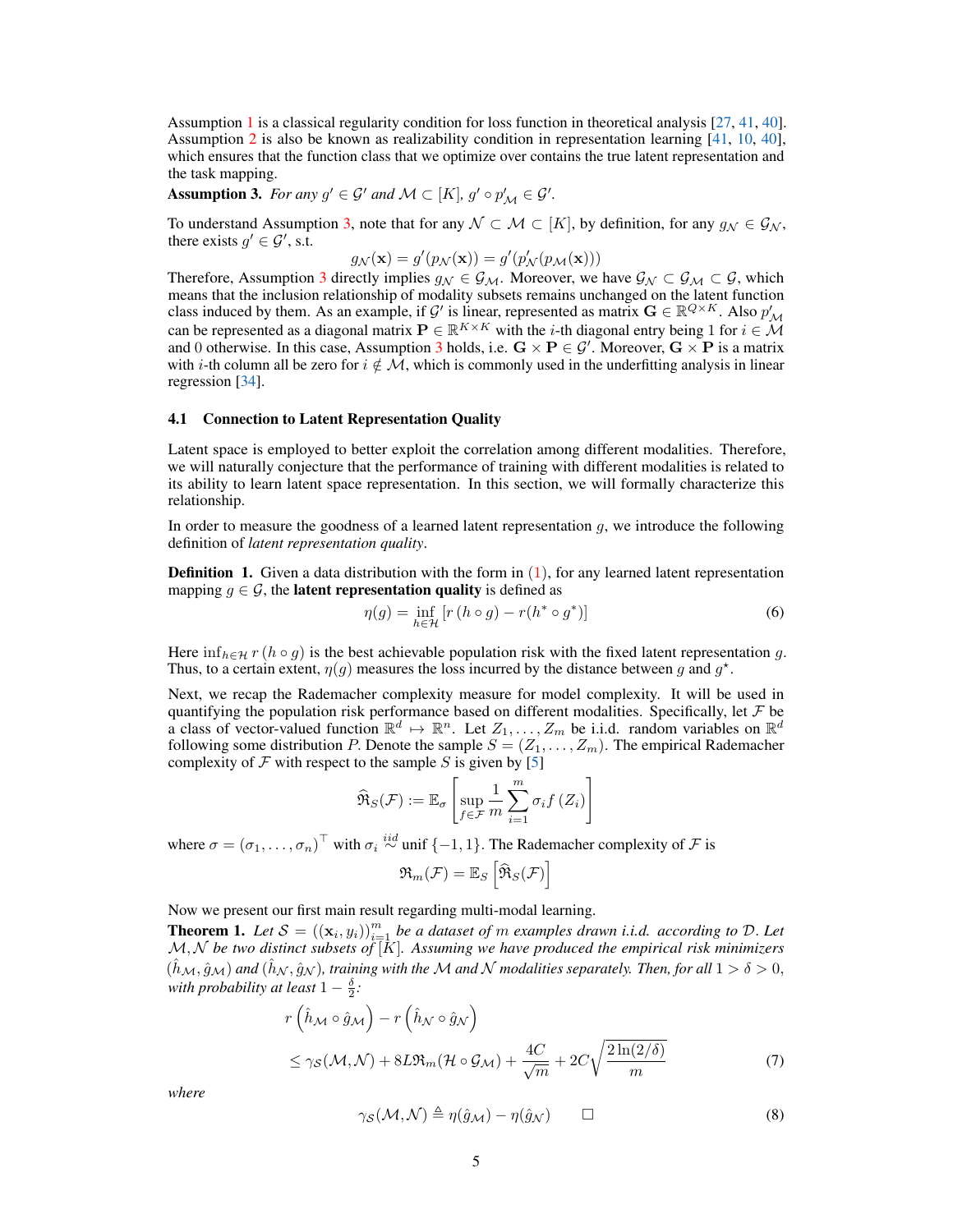Assumption [1](#page-3-1) is a classical regularity condition for loss function in theoretical analysis [\[27,](#page-11-12) [41,](#page-12-6) [40\]](#page-12-5). Assumption [2](#page-3-2) is also be known as realizability condition in representation learning [\[41,](#page-12-6) [10,](#page-10-11) [40\]](#page-12-5), which ensures that the function class that we optimize over contains the true latent representation and the task mapping.

<span id="page-4-0"></span>Assumption 3. *For any*  $g' \in \mathcal{G}'$  *and*  $\mathcal{M} \subset [K]$ ,  $g' \circ p'_{\mathcal{M}} \in \mathcal{G}'$ .

To understand Assumption [3,](#page-4-0) note that for any  $\mathcal{N} \subset \mathcal{M} \subset [K]$ , by definition, for any  $q_N \in \mathcal{G}_N$ , there exists  $g' \in \mathcal{G}'$ , s.t.

$$
g_{\mathcal{N}}(\mathbf{x}) = g'(p_{\mathcal{N}}(\mathbf{x})) = g'(p'_{\mathcal{N}}(p_{\mathcal{M}}(\mathbf{x})))
$$

Therefore, Assumption [3](#page-4-0) directly implies  $g_{\mathcal{N}} \in \mathcal{G}_{\mathcal{M}}$ . Moreover, we have  $\mathcal{G}_{\mathcal{N}} \subset \mathcal{G}_{\mathcal{M}} \subset \mathcal{G}$ , which means that the inclusion relationship of modality subsets remains unchanged on the latent function class induced by them. As an example, if G' is linear, represented as matrix  $G \in \mathbb{R}^{Q \times K}$ . Also  $p'_{\mathcal{M}}$ can be represented as a diagonal matrix  $\mathbf{P} \in \mathbb{R}^{K \times K}$  with the *i*-th diagonal entry being 1 for  $i \in \mathcal{M}$ and 0 otherwise. In this case, Assumption [3](#page-4-0) holds, i.e.  $G \times P \in \mathcal{G}'$ . Moreover,  $G \times P$  is a matrix with i-th column all be zero for  $i \notin M$ , which is commonly used in the underfitting analysis in linear regression [\[34\]](#page-11-13).

#### 4.1 Connection to Latent Representation Quality

Latent space is employed to better exploit the correlation among different modalities. Therefore, we will naturally conjecture that the performance of training with different modalities is related to its ability to learn latent space representation. In this section, we will formally characterize this relationship.

In order to measure the goodness of a learned latent representation  $q$ , we introduce the following definition of *latent representation quality*.

**Definition 1.** Given a data distribution with the form in  $(1)$ , for any learned latent representation mapping  $g \in \mathcal{G}$ , the **latent representation quality** is defined as

$$
\eta(g) = \inf_{h \in \mathcal{H}} \left[ r \left( h \circ g \right) - r \left( h^* \circ g^* \right) \right] \tag{6}
$$

Here  $\inf_{h \in \mathcal{H}} r (h \circ q)$  is the best achievable population risk with the fixed latent representation q. Thus, to a certain extent,  $\eta(g)$  measures the loss incurred by the distance between g and  $g^*$ .

Next, we recap the Rademacher complexity measure for model complexity. It will be used in quantifying the population risk performance based on different modalities. Specifically, let  $\mathcal F$  be a class of vector-valued function  $\mathbb{R}^d \mapsto \mathbb{R}^n$ . Let  $Z_1, \ldots, Z_m$  be i.i.d. random variables on  $\mathbb{R}^d$ following some distribution P. Denote the sample  $S = (Z_1, \ldots, Z_m)$ . The empirical Rademacher complexity of  $\mathcal F$  with respect to the sample  $S$  is given by [\[5\]](#page-10-14)

$$
\widehat{\mathfrak{R}}_S(\mathcal{F}) := \mathbb{E}_{\sigma} \left[ \sup_{f \in \mathcal{F}} \frac{1}{m} \sum_{i=1}^m \sigma_i f(Z_i) \right]
$$

where  $\sigma = (\sigma_1, \ldots, \sigma_n)^\top$  with  $\sigma_i \stackrel{iid}{\sim}$  unif  $\{-1, 1\}$ . The Rademacher complexity of  $\mathcal F$  is

<span id="page-4-3"></span>
$$
\mathfrak{R}_{m}(\mathcal{F})=\mathbb{E}_{S}\left[\widehat{\mathfrak{R}}_{S}(\mathcal{F})\right]
$$

Now we present our first main result regarding multi-modal learning.

<span id="page-4-2"></span>**Theorem 1.** Let  $S = ((\mathbf{x}_i, y_i))_{i=1}^m$  be a dataset of m examples drawn i.i.d. according to D. Let  $M, N$  be two distinct subsets of  $\bar{k}$ ]. Assuming we have produced the empirical risk minimizers  $(\hat{h}_{\mathcal{M}}, \hat{g}_{\mathcal{M}})$  *and*  $(\hat{h}_{\mathcal{N}}, \hat{g}_{\mathcal{N}})$ *, training with the* M *and* N *modalities separately. Then, for all*  $1 > \delta > 0$ *, with probability at least*  $1 - \frac{\delta}{2}$ *:* 

$$
r\left(\hat{h}_{\mathcal{M}} \circ \hat{g}_{\mathcal{M}}\right) - r\left(\hat{h}_{\mathcal{N}} \circ \hat{g}_{\mathcal{N}}\right)
$$
  

$$
\leq \gamma_{\mathcal{S}}(\mathcal{M}, \mathcal{N}) + 8L \Re_m(\mathcal{H} \circ \mathcal{G}_{\mathcal{M}}) + \frac{4C}{\sqrt{m}} + 2C\sqrt{\frac{2\ln(2/\delta)}{m}}
$$
(7)

*where*

<span id="page-4-1"></span>
$$
\gamma_{\mathcal{S}}(\mathcal{M},\mathcal{N}) \triangleq \eta(\hat{g}_{\mathcal{M}}) - \eta(\hat{g}_{\mathcal{N}}) \qquad \Box \tag{8}
$$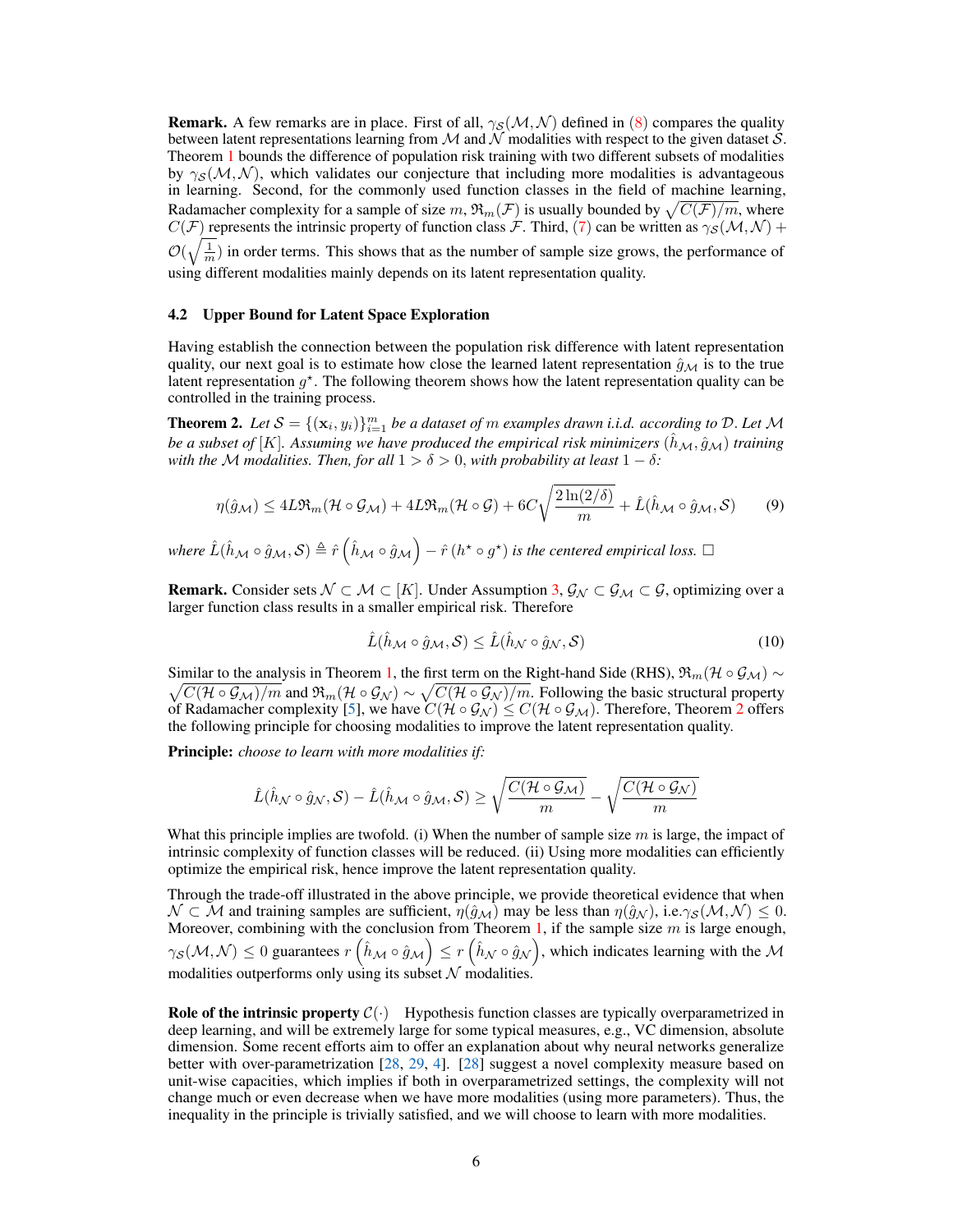**Remark.** A few remarks are in place. First of all,  $\gamma_S(\mathcal{M}, \mathcal{N})$  defined in [\(8\)](#page-4-1) compares the quality between latent representations learning from M and N modalities with respect to the given dataset S. Theorem [1](#page-4-2) bounds the difference of population risk training with two different subsets of modalities by  $\gamma_S(\mathcal{M}, \mathcal{N})$ , which validates our conjecture that including more modalities is advantageous in learning. Second, for the commonly used function classes in the field of machine learning, Radamacher complexity for a sample of size  $m,$   $\mathfrak{R}_m(\mathcal{F})$  is usually bounded by  $\sqrt{C(\mathcal{F})/m},$  where  $C(\mathcal{F})$  represents the intrinsic property of function class  $\mathcal{F}$ . Third, [\(7\)](#page-4-3) can be written as  $\gamma_{\mathcal{S}}(\mathcal{M},\mathcal{N})$  +  $\mathcal{O}(\sqrt{\frac{1}{m}})$  in order terms. This shows that as the number of sample size grows, the performance of using different modalities mainly depends on its latent representation quality.

#### 4.2 Upper Bound for Latent Space Exploration

Having establish the connection between the population risk difference with latent representation quality, our next goal is to estimate how close the learned latent representation  $\hat{q}_M$  is to the true latent representation  $g^*$ . The following theorem shows how the latent representation quality can be controlled in the training process.

<span id="page-5-0"></span>**Theorem 2.** Let  $S = \{(\mathbf{x}_i, y_i)\}_{i=1}^m$  be a dataset of m examples drawn i.i.d. according to D. Let M *be a subset of* [K]. Assuming we have produced the empirical risk minimizers  $(h_M, \hat{g}_M)$  training *with the* M *modalities. Then, for all*  $1 > \delta > 0$ *, with probability at least*  $1 - \delta$ *:* 

$$
\eta(\hat{g}_{\mathcal{M}}) \le 4L \Re_m(\mathcal{H} \circ \mathcal{G}_{\mathcal{M}}) + 4L \Re_m(\mathcal{H} \circ \mathcal{G}) + 6C \sqrt{\frac{2\ln(2/\delta)}{m}} + \hat{L}(\hat{h}_{\mathcal{M}} \circ \hat{g}_{\mathcal{M}}, \mathcal{S})
$$
(9)

where  $\hat{L}(\hat{h}_{\mathcal{M}}\circ\hat{g}_\mathcal{M},\mathcal{S})\triangleq\hat{r}\left(\hat{h}_\mathcal{M}\circ\hat{g}_\mathcal{M}\right)-\hat{r}\left(h^\star\circ g^\star\right)$  is the centered empirical loss.  $\Box$ 

**Remark.** Consider sets  $\mathcal{N} \subset \mathcal{M} \subset [K]$ . Under Assumption [3,](#page-4-0)  $\mathcal{G}_{\mathcal{N}} \subset \mathcal{G}_{\mathcal{M}} \subset \mathcal{G}$ , optimizing over a larger function class results in a smaller empirical risk. Therefore

$$
\hat{L}(\hat{h}_{\mathcal{M}} \circ \hat{g}_{\mathcal{M}}, \mathcal{S}) \le \hat{L}(\hat{h}_{\mathcal{N}} \circ \hat{g}_{\mathcal{N}}, \mathcal{S}) \tag{10}
$$

Similar to the analysis in Theorem [1,](#page-4-2) the first term on the Right-hand Side (RHS),  $\mathfrak{R}_m(\mathcal{H} \circ \mathcal{G}_M) \sim$  $\sqrt{C(\mathcal{H} \circ \mathcal{G}_M)/m}$  and  $\mathfrak{R}_m(\mathcal{H} \circ \mathcal{G}_N) \sim \sqrt{C(\mathcal{H} \circ \mathcal{G}_N)/m}$ . Following the basic structural property of Radamacher complexity [\[5\]](#page-10-14), we have  $C(\mathcal{H} \circ \mathcal{G_N}) \leq C(\mathcal{H} \circ \mathcal{G_M})$ . Therefore, Theorem [2](#page-5-0) offers the following principle for choosing modalities to improve the latent representation quality.

Principle: *choose to learn with more modalities if:*

$$
\hat{L}(\hat{h}_{\mathcal{N}}\circ\hat{g}_{\mathcal{N}},\mathcal{S}) - \hat{L}(\hat{h}_{\mathcal{M}}\circ\hat{g}_{\mathcal{M}},\mathcal{S}) \geq \sqrt{\frac{C(\mathcal{H}\circ\mathcal{G}_{\mathcal{M}})}{m}} - \sqrt{\frac{C(\mathcal{H}\circ\mathcal{G}_{\mathcal{N}})}{m}}
$$

What this principle implies are twofold. (i) When the number of sample size  $m$  is large, the impact of intrinsic complexity of function classes will be reduced. (ii) Using more modalities can efficiently optimize the empirical risk, hence improve the latent representation quality.

Through the trade-off illustrated in the above principle, we provide theoretical evidence that when  $\mathcal{N} \subset \mathcal{M}$  and training samples are sufficient,  $\eta(\hat{g}_{\mathcal{M}})$  may be less than  $\eta(\hat{g}_{\mathcal{N}})$ , i.e. $\gamma_{\mathcal{S}}(\mathcal{M}, \mathcal{N}) \leq 0$ . Moreover, combining with the conclusion from Theorem [1,](#page-4-2) if the sample size  $m$  is large enough,  $\gamma_S(\mathcal{M},\mathcal{N})\leq 0$  guarantees  $r\left(\hat{h}_\mathcal{M}\circ\hat{g}_\mathcal{M}\right)\leq r\left(\hat{h}_\mathcal{N}\circ\hat{g}_\mathcal{N}\right)$ , which indicates learning with the  $\mathcal M$ modalities outperforms only using its subset  $N$  modalities.

**Role of the intrinsic property**  $C(\cdot)$  Hypothesis function classes are typically overparametrized in deep learning, and will be extremely large for some typical measures, e.g., VC dimension, absolute dimension. Some recent efforts aim to offer an explanation about why neural networks generalize better with over-parametrization [\[28,](#page-11-14) [29,](#page-11-15) [4\]](#page-10-15). [\[28\]](#page-11-14) suggest a novel complexity measure based on unit-wise capacities, which implies if both in overparametrized settings, the complexity will not change much or even decrease when we have more modalities (using more parameters). Thus, the inequality in the principle is trivially satisfied, and we will choose to learn with more modalities.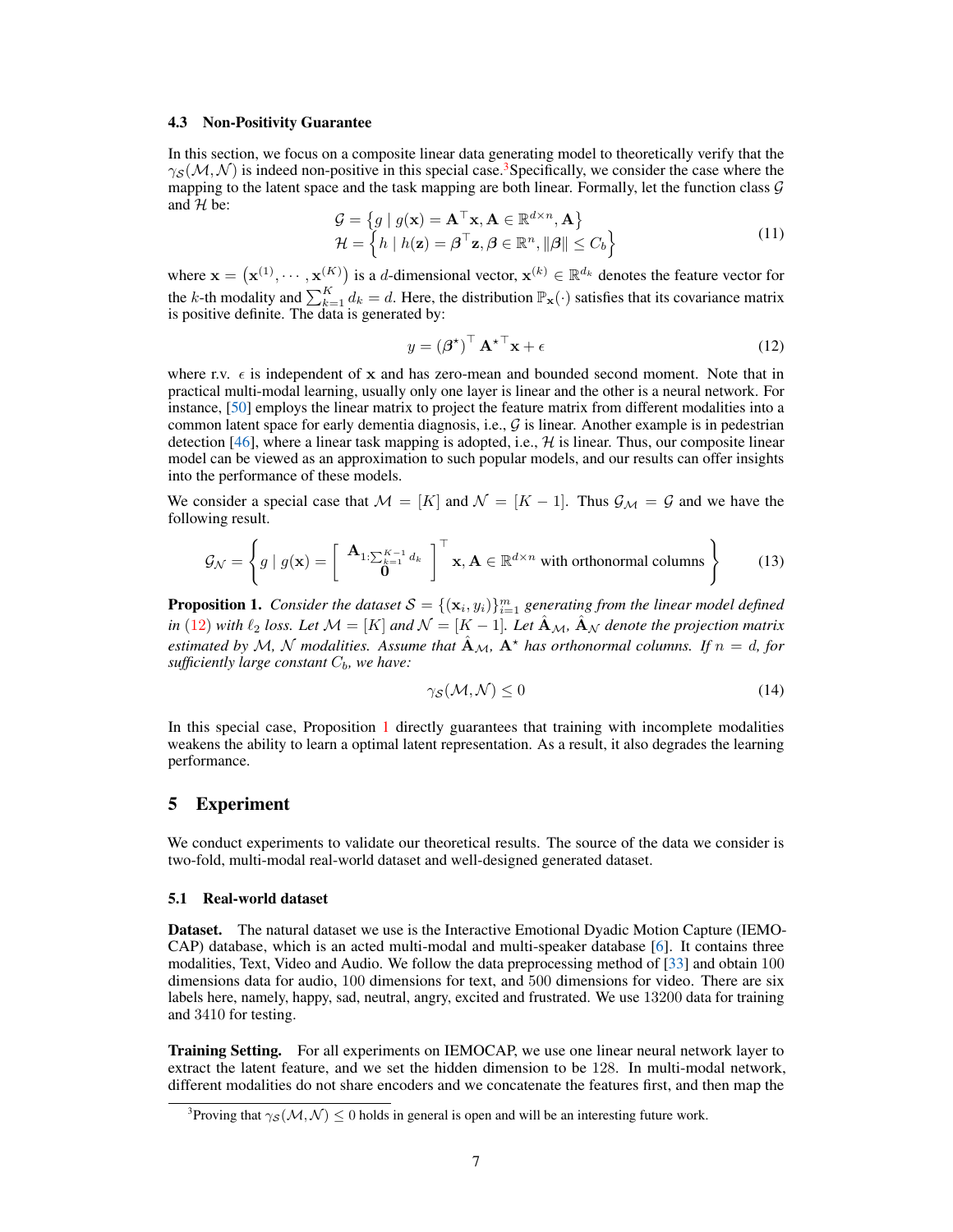#### 4.3 Non-Positivity Guarantee

In this section, we focus on a composite linear data generating model to theoretically verify that the  $\gamma_S(\mathcal{M}, \mathcal{N})$  is indeed non-positive in this special case.<sup>[3](#page-6-1)</sup>Specifically, we consider the case where the mapping to the latent space and the task mapping are both linear. Formally, let the function class  $\mathcal G$ and  $H$  be:

$$
\mathcal{G} = \{ g \mid g(\mathbf{x}) = \mathbf{A}^{\top} \mathbf{x}, \mathbf{A} \in \mathbb{R}^{d \times n}, \mathbf{A} \}
$$
  
\n
$$
\mathcal{H} = \{ h \mid h(\mathbf{z}) = \boldsymbol{\beta}^{\top} \mathbf{z}, \boldsymbol{\beta} \in \mathbb{R}^{n}, ||\boldsymbol{\beta}|| \le C_{b} \}
$$
\n(11)

where  $\mathbf{x} = (\mathbf{x}^{(1)}, \dots, \mathbf{x}^{(K)})$  is a d-dimensional vector,  $\mathbf{x}^{(k)} \in \mathbb{R}^{d_k}$  denotes the feature vector for the k-th modality and  $\sum_{k=1}^{K} d_k = d$ . Here, the distribution  $\mathbb{P}_{\mathbf{x}}(\cdot)$  satisfies that its covariance matrix is positive definite. The data is generated by:

<span id="page-6-2"></span>
$$
y = \left(\boldsymbol{\beta}^{\star}\right)^{\top} \mathbf{A}^{\star \top} \mathbf{x} + \epsilon \tag{12}
$$

where r.v.  $\epsilon$  is independent of x and has zero-mean and bounded second moment. Note that in practical multi-modal learning, usually only one layer is linear and the other is a neural network. For instance, [\[50\]](#page-12-10) employs the linear matrix to project the feature matrix from different modalities into a common latent space for early dementia diagnosis, i.e.,  $G$  is linear. Another example is in pedestrian detection [\[46\]](#page-12-11), where a linear task mapping is adopted, i.e.,  $H$  is linear. Thus, our composite linear model can be viewed as an approximation to such popular models, and our results can offer insights into the performance of these models.

We consider a special case that  $\mathcal{M} = [K]$  and  $\mathcal{N} = [K - 1]$ . Thus  $\mathcal{G}_{\mathcal{M}} = \mathcal{G}$  and we have the following result.

$$
\mathcal{G}_{\mathcal{N}} = \left\{ g \mid g(\mathbf{x}) = \left[ \begin{array}{c} \mathbf{A}_{1:\sum_{k=1}^{K-1} d_k} \\ \mathbf{0} \end{array} \right]^{\top} \mathbf{x}, \mathbf{A} \in \mathbb{R}^{d \times n} \text{ with orthonormal columns} \right\}
$$
(13)

<span id="page-6-3"></span>**Proposition 1.** Consider the dataset  $\mathcal{S} = \{(\mathbf{x}_i, y_i)\}_{i=1}^m$  generating from the linear model defined *in* [\(12\)](#page-6-2) *with*  $\ell_2$  *loss. Let*  $\mathcal{M} = [K]$  *and*  $\mathcal{N} = [K - 1]$ *. Let*  $\hat{A}_\mathcal{M}$ *,*  $\hat{A}_\mathcal{N}$  *denote the projection matrix estimated by* M, N *modalities. Assume that*  $\mathbf{A}_{\mathcal{M}}$ ,  $\mathbf{A}^*$  *has orthonormal columns. If*  $n = d$ , *for sufficiently large constant*  $C_b$ *, we have:* 

$$
\gamma_{\mathcal{S}}(\mathcal{M}, \mathcal{N}) \le 0 \tag{14}
$$

In this special case, Proposition [1](#page-6-3) directly guarantees that training with incomplete modalities weakens the ability to learn a optimal latent representation. As a result, it also degrades the learning performance.

## <span id="page-6-0"></span>5 Experiment

We conduct experiments to validate our theoretical results. The source of the data we consider is two-fold, multi-modal real-world dataset and well-designed generated dataset.

#### 5.1 Real-world dataset

Dataset. The natural dataset we use is the Interactive Emotional Dyadic Motion Capture (IEMO-CAP) database, which is an acted multi-modal and multi-speaker database [\[6\]](#page-10-16). It contains three modalities, Text, Video and Audio. We follow the data preprocessing method of [\[33\]](#page-11-16) and obtain 100 dimensions data for audio, 100 dimensions for text, and 500 dimensions for video. There are six labels here, namely, happy, sad, neutral, angry, excited and frustrated. We use 13200 data for training and 3410 for testing.

**Training Setting.** For all experiments on IEMOCAP, we use one linear neural network layer to extract the latent feature, and we set the hidden dimension to be 128. In multi-modal network, different modalities do not share encoders and we concatenate the features first, and then map the

<span id="page-6-1"></span><sup>&</sup>lt;sup>3</sup>Proving that  $\gamma_{\mathcal{S}}(\mathcal{M},\mathcal{N}) \leq 0$  holds in general is open and will be an interesting future work.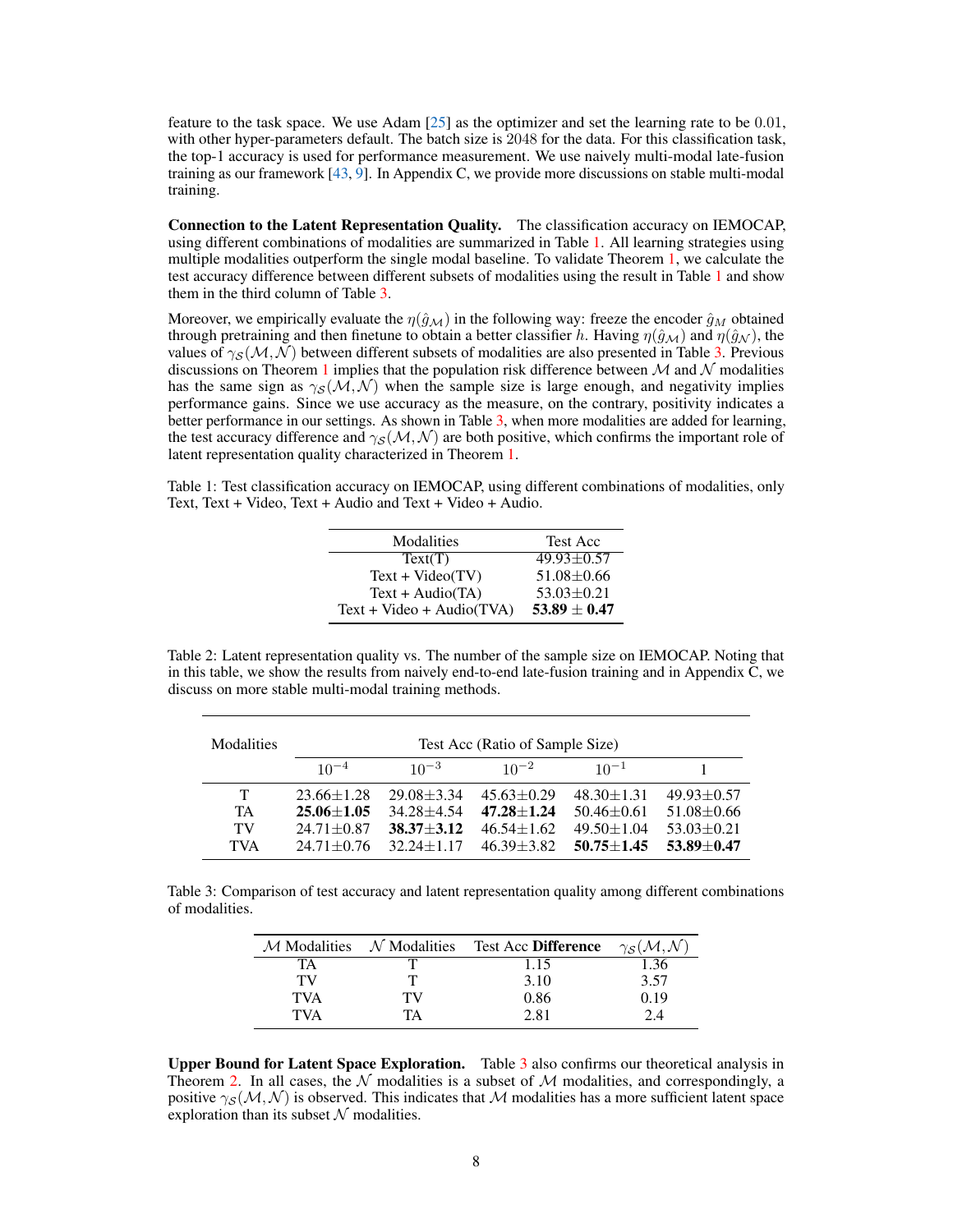feature to the task space. We use Adam  $[25]$  as the optimizer and set the learning rate to be 0.01, with other hyper-parameters default. The batch size is 2048 for the data. For this classification task, the top-1 accuracy is used for performance measurement. We use naively multi-modal late-fusion training as our framework [\[43,](#page-12-0) [9\]](#page-10-4). In Appendix C, we provide more discussions on stable multi-modal training.

Connection to the Latent Representation Quality. The classification accuracy on IEMOCAP, using different combinations of modalities are summarized in Table [1.](#page-7-0) All learning strategies using multiple modalities outperform the single modal baseline. To validate Theorem [1,](#page-4-2) we calculate the test accuracy difference between different subsets of modalities using the result in Table [1](#page-7-0) and show them in the third column of Table [3.](#page-7-1)

Moreover, we empirically evaluate the  $\eta(\hat{g}_M)$  in the following way: freeze the encoder  $\hat{g}_M$  obtained through pretraining and then finetune to obtain a better classifier h. Having  $\eta(\hat{q}_M)$  and  $\eta(\hat{q}_N)$ , the values of  $\gamma_s(M, N)$  between different subsets of modalities are also presented in Table [3.](#page-7-1) Previous discussions on Theorem [1](#page-4-2) implies that the population risk difference between  $M$  and  $N$  modalities has the same sign as  $\gamma_{\mathcal{S}}(\mathcal{M}, \mathcal{N})$  when the sample size is large enough, and negativity implies performance gains. Since we use accuracy as the measure, on the contrary, positivity indicates a better performance in our settings. As shown in Table [3,](#page-7-1) when more modalities are added for learning, the test accuracy difference and  $\gamma_S(M, \mathcal{N})$  are both positive, which confirms the important role of latent representation quality characterized in Theorem [1.](#page-4-2)

<span id="page-7-0"></span>Table 1: Test classification accuracy on IEMOCAP, using different combinations of modalities, only Text, Text + Video, Text + Audio and Text + Video + Audio.

| Modalities                  | <b>Test Acc</b>  |
|-----------------------------|------------------|
| Text(T)                     | $49.93 \pm 0.57$ |
| $Text + Video(TV)$          | $51.08 \pm 0.66$ |
| $Text + Audio(TA)$          | $53.03 \pm 0.21$ |
| $Text + Video + Audio(TVA)$ | $53.89 \pm 0.47$ |

Table 2: Latent representation quality vs. The number of the sample size on IEMOCAP. Noting that in this table, we show the results from naively end-to-end late-fusion training and in Appendix C, we discuss on more stable multi-modal training methods.

<span id="page-7-2"></span>

| Modalities | Test Acc (Ratio of Sample Size) |                  |                  |                  |                  |  |
|------------|---------------------------------|------------------|------------------|------------------|------------------|--|
|            | $10^{-4}$                       | $10^{-3}$        | $10^{-2}$        | $10^{-1}$        |                  |  |
| T.         | $23.66 \pm 1.28$                | $29.08 \pm 3.34$ | $45.63 + 0.29$   | $48.30 \pm 1.31$ | $49.93 \pm 0.57$ |  |
| <b>TA</b>  | $25.06 + 1.05$                  | $34.28 + 4.54$   | $47.28 + 1.24$   | $50.46 \pm 0.61$ | $51.08 \pm 0.66$ |  |
| TV         | $24.71 \pm 0.87$                | $38.37 + 3.12$   | $46.54 \pm 1.62$ | $49.50 \pm 1.04$ | $53.03 \pm 0.21$ |  |
| <b>TVA</b> | $24.71 \pm 0.76$                | $32.24 + 1.17$   | $46.39 \pm 3.82$ | $50.75 + 1.45$   | $53.89 + 0.47$   |  |

<span id="page-7-1"></span>Table 3: Comparison of test accuracy and latent representation quality among different combinations of modalities.

|            | $M$ Modalities $N$ Modalities | Test Acc Difference | $\gamma_S(M,N)$ |
|------------|-------------------------------|---------------------|-----------------|
| TA         |                               | 1.15                |                 |
| тv         |                               | 3.10                | 3.57            |
| TVA        | ТV                            | 0.86                | 0.19            |
| <b>TVA</b> | TA                            | 2.81                | 2.4             |

Upper Bound for Latent Space Exploration. Table [3](#page-7-1) also confirms our theoretical analysis in Theorem [2.](#page-5-0) In all cases, the  $\mathcal N$  modalities is a subset of  $\mathcal M$  modalities, and correspondingly, a positive  $\gamma_{\rm S}(\mathcal{M},\mathcal{N})$  is observed. This indicates that M modalities has a more sufficient latent space exploration than its subset  $N$  modalities.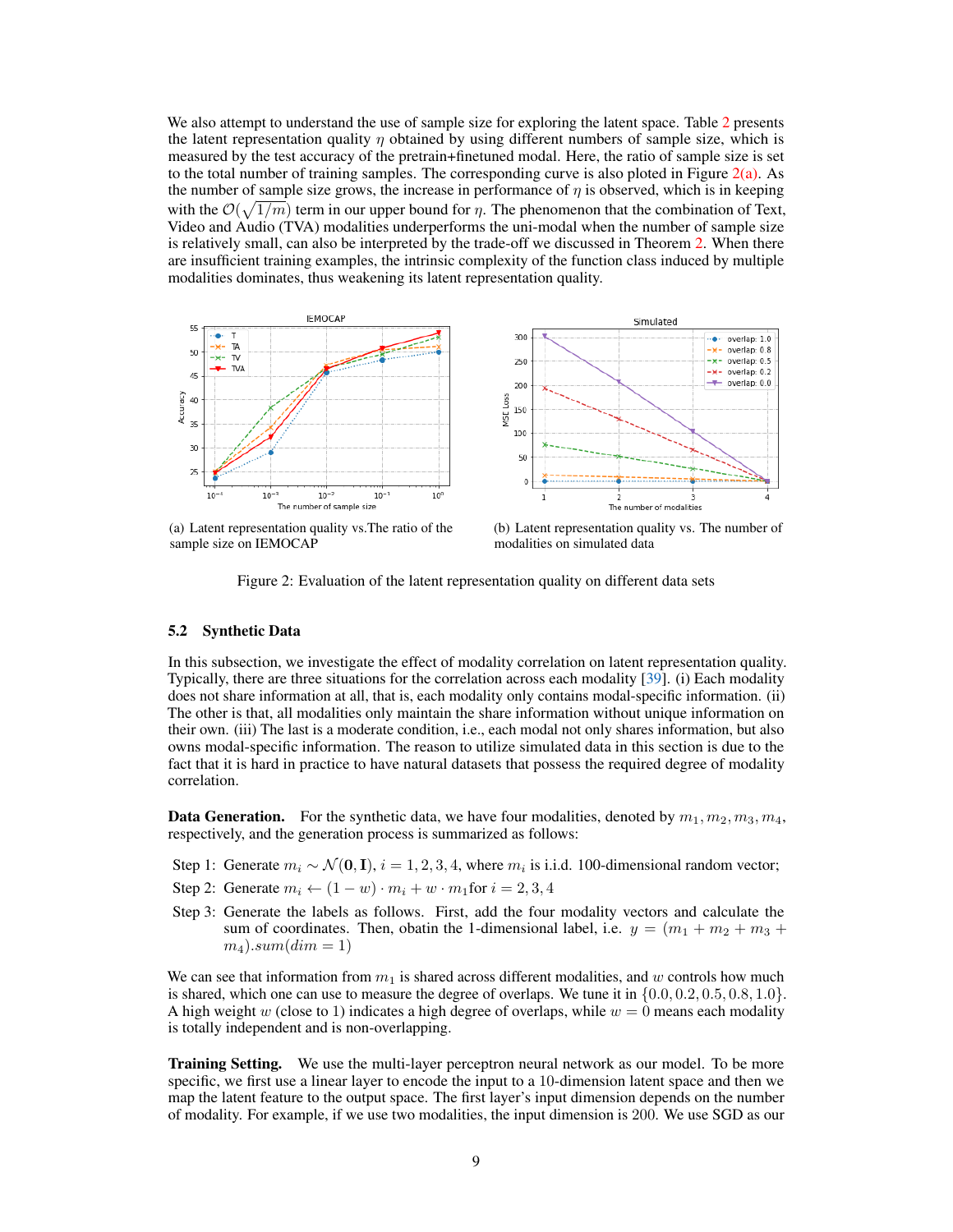We also attempt to understand the use of sample size for exploring the latent space. Table [2](#page-7-2) presents the latent representation quality  $\eta$  obtained by using different numbers of sample size, which is measured by the test accuracy of the pretrain+finetuned modal. Here, the ratio of sample size is set to the total number of training samples. The corresponding curve is also ploted in Figure  $2(a)$ . As the number of sample size grows, the increase in performance of  $\eta$  is observed, which is in keeping with the  $\mathcal{O}(\sqrt{1/m})$  term in our upper bound for  $\eta$ . The phenomenon that the combination of Text, Video and Audio (TVA) modalities underperforms the uni-modal when the number of sample size is relatively small, can also be interpreted by the trade-off we discussed in Theorem [2.](#page-5-0) When there are insufficient training examples, the intrinsic complexity of the function class induced by multiple modalities dominates, thus weakening its latent representation quality.

<span id="page-8-0"></span>

(a) Latent representation quality vs.The ratio of the sample size on IEMOCAP

<span id="page-8-1"></span>(b) Latent representation quality vs. The number of modalities on simulated data

Figure 2: Evaluation of the latent representation quality on different data sets

#### 5.2 Synthetic Data

In this subsection, we investigate the effect of modality correlation on latent representation quality. Typically, there are three situations for the correlation across each modality [\[39\]](#page-12-1). (i) Each modality does not share information at all, that is, each modality only contains modal-specific information. (ii) The other is that, all modalities only maintain the share information without unique information on their own. (iii) The last is a moderate condition, i.e., each modal not only shares information, but also owns modal-specific information. The reason to utilize simulated data in this section is due to the fact that it is hard in practice to have natural datasets that possess the required degree of modality correlation.

**Data Generation.** For the synthetic data, we have four modalities, denoted by  $m_1, m_2, m_3, m_4$ , respectively, and the generation process is summarized as follows:

- Step 1: Generate  $m_i \sim \mathcal{N}(\mathbf{0}, \mathbf{I}), i = 1, 2, 3, 4$ , where  $m_i$  is i.i.d. 100-dimensional random vector;
- Step 2: Generate  $m_i \leftarrow (1-w) \cdot m_i + w \cdot m_1$  for  $i = 2, 3, 4$
- Step 3: Generate the labels as follows. First, add the four modality vectors and calculate the sum of coordinates. Then, obatin the 1-dimensional label, i.e.  $y = (m_1 + m_2 + m_3 +$  $m_4$ ).sum $(dim = 1)$

We can see that information from  $m_1$  is shared across different modalities, and w controls how much is shared, which one can use to measure the degree of overlaps. We tune it in  $\{0.0, 0.2, 0.5, 0.8, 1.0\}$ . A high weight w (close to 1) indicates a high degree of overlaps, while  $w = 0$  means each modality is totally independent and is non-overlapping.

**Training Setting.** We use the multi-layer perceptron neural network as our model. To be more specific, we first use a linear layer to encode the input to a 10-dimension latent space and then we map the latent feature to the output space. The first layer's input dimension depends on the number of modality. For example, if we use two modalities, the input dimension is 200. We use SGD as our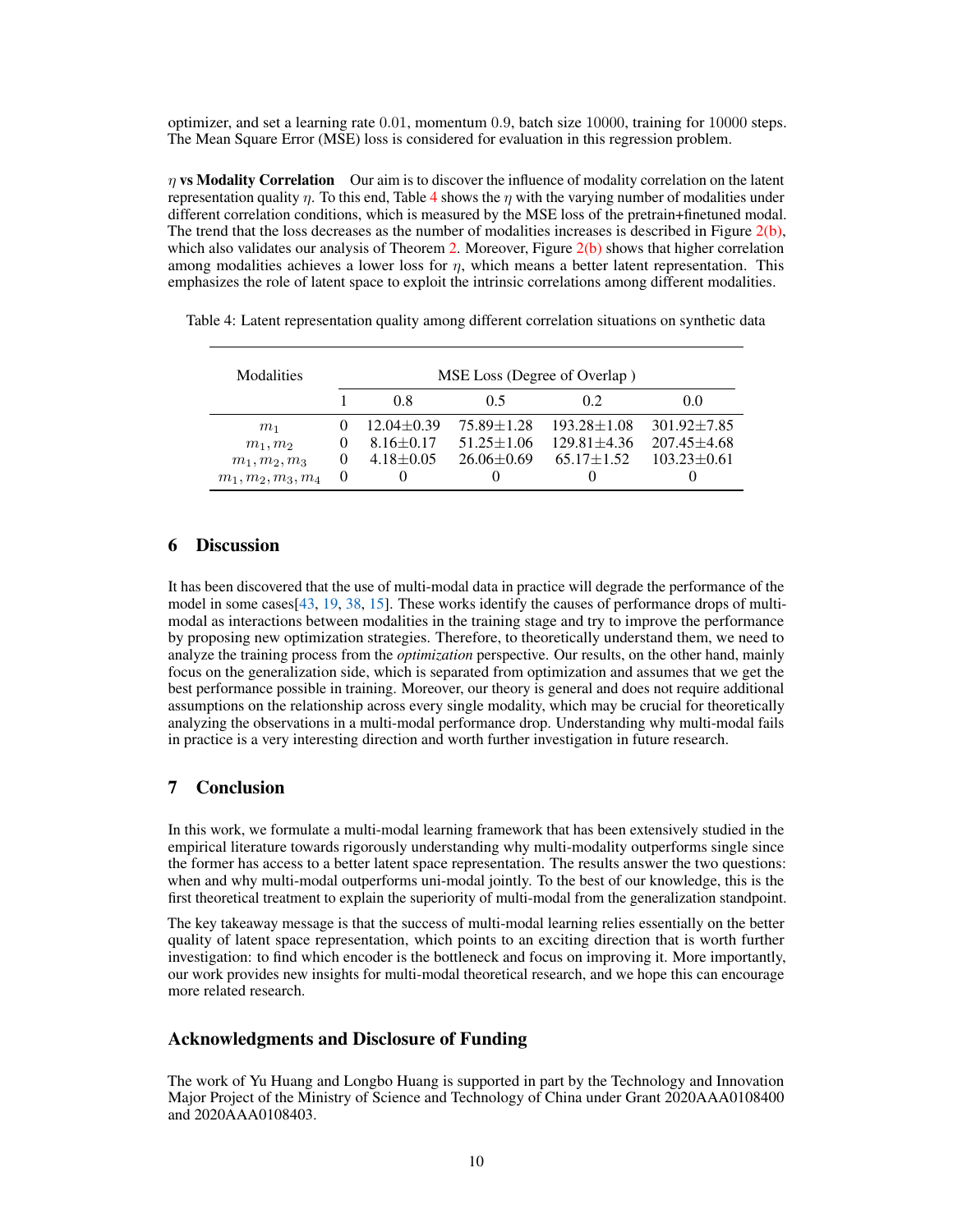optimizer, and set a learning rate 0.01, momentum 0.9, batch size 10000, training for 10000 steps. The Mean Square Error (MSE) loss is considered for evaluation in this regression problem.

 $\eta$  vs Modality Correlation Our aim is to discover the influence of modality correlation on the latent representation quality  $\eta$ . To this end, Table [4](#page-9-2) shows the  $\eta$  with the varying number of modalities under different correlation conditions, which is measured by the MSE loss of the pretrain+finetuned modal. The trend that the loss decreases as the number of modalities increases is described in Figure  $2(b)$ , which also validates our analysis of Theorem [2.](#page-5-0) Moreover, Figure  $2(b)$  shows that higher correlation among modalities achieves a lower loss for  $\eta$ , which means a better latent representation. This emphasizes the role of latent space to exploit the intrinsic correlations among different modalities.

| Modalities           | MSE Loss (Degree of Overlap) |                  |                   |                   |                   |
|----------------------|------------------------------|------------------|-------------------|-------------------|-------------------|
|                      |                              | 0.8              | 05                | 02                | 0.0               |
| m <sub>1</sub>       | $\theta$                     | $12.04 \pm 0.39$ | $75.89 \pm 1.28$  | $193.28 \pm 1.08$ | $301.92 + 7.85$   |
| $m_1, m_2$           | $\theta$                     | $8.16 \pm 0.17$  | $51.25 \pm 1.06$  | $129.81 \pm 4.36$ | $207.45 \pm 4.68$ |
| $m_1, m_2, m_3$      | $\theta$                     | $4.18 \pm 0.05$  | $26.06 \pm 0.69$  | $65.17 \pm 1.52$  | $103.23 \pm 0.61$ |
| $m_1, m_2, m_3, m_4$ | $\theta$                     |                  | $\mathbf{\Omega}$ |                   |                   |

<span id="page-9-2"></span>Table 4: Latent representation quality among different correlation situations on synthetic data

# <span id="page-9-0"></span>6 Discussion

It has been discovered that the use of multi-modal data in practice will degrade the performance of the model in some cases[\[43,](#page-12-0) [19,](#page-11-18) [38,](#page-11-19) [15\]](#page-10-17). These works identify the causes of performance drops of multimodal as interactions between modalities in the training stage and try to improve the performance by proposing new optimization strategies. Therefore, to theoretically understand them, we need to analyze the training process from the *optimization* perspective. Our results, on the other hand, mainly focus on the generalization side, which is separated from optimization and assumes that we get the best performance possible in training. Moreover, our theory is general and does not require additional assumptions on the relationship across every single modality, which may be crucial for theoretically analyzing the observations in a multi-modal performance drop. Understanding why multi-modal fails in practice is a very interesting direction and worth further investigation in future research.

# <span id="page-9-1"></span>7 Conclusion

In this work, we formulate a multi-modal learning framework that has been extensively studied in the empirical literature towards rigorously understanding why multi-modality outperforms single since the former has access to a better latent space representation. The results answer the two questions: when and why multi-modal outperforms uni-modal jointly. To the best of our knowledge, this is the first theoretical treatment to explain the superiority of multi-modal from the generalization standpoint.

The key takeaway message is that the success of multi-modal learning relies essentially on the better quality of latent space representation, which points to an exciting direction that is worth further investigation: to find which encoder is the bottleneck and focus on improving it. More importantly, our work provides new insights for multi-modal theoretical research, and we hope this can encourage more related research.

## Acknowledgments and Disclosure of Funding

The work of Yu Huang and Longbo Huang is supported in part by the Technology and Innovation Major Project of the Ministry of Science and Technology of China under Grant 2020AAA0108400 and 2020AAA0108403.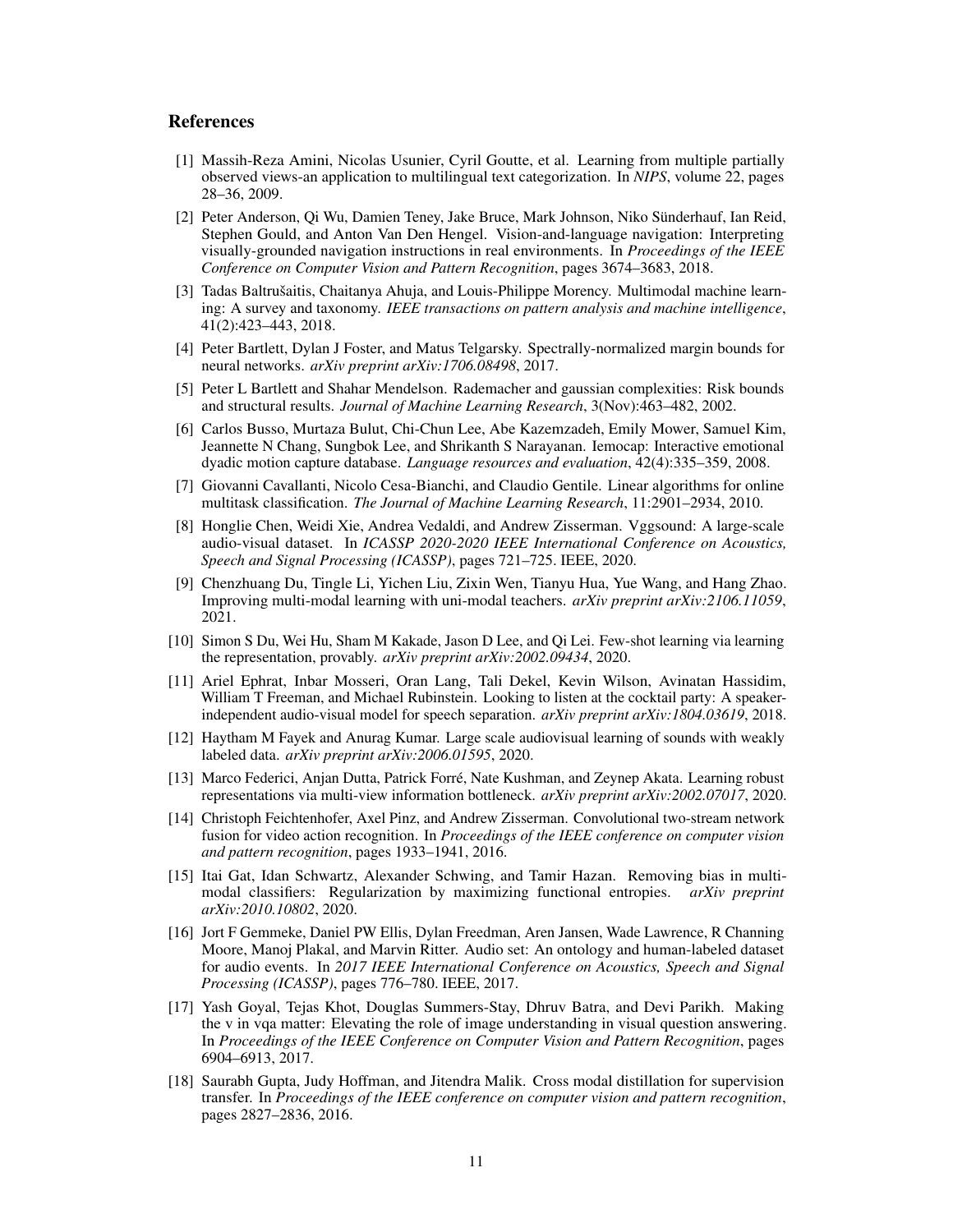## References

- <span id="page-10-7"></span>[1] Massih-Reza Amini, Nicolas Usunier, Cyril Goutte, et al. Learning from multiple partially observed views-an application to multilingual text categorization. In *NIPS*, volume 22, pages 28–36, 2009.
- <span id="page-10-2"></span>[2] Peter Anderson, Qi Wu, Damien Teney, Jake Bruce, Mark Johnson, Niko Sünderhauf, Ian Reid, Stephen Gould, and Anton Van Den Hengel. Vision-and-language navigation: Interpreting visually-grounded navigation instructions in real environments. In *Proceedings of the IEEE Conference on Computer Vision and Pattern Recognition*, pages 3674–3683, 2018.
- <span id="page-10-3"></span>[3] Tadas Baltrušaitis, Chaitanya Ahuja, and Louis-Philippe Morency. Multimodal machine learning: A survey and taxonomy. *IEEE transactions on pattern analysis and machine intelligence*, 41(2):423–443, 2018.
- <span id="page-10-15"></span>[4] Peter Bartlett, Dylan J Foster, and Matus Telgarsky. Spectrally-normalized margin bounds for neural networks. *arXiv preprint arXiv:1706.08498*, 2017.
- <span id="page-10-14"></span>[5] Peter L Bartlett and Shahar Mendelson. Rademacher and gaussian complexities: Risk bounds and structural results. *Journal of Machine Learning Research*, 3(Nov):463–482, 2002.
- <span id="page-10-16"></span>[6] Carlos Busso, Murtaza Bulut, Chi-Chun Lee, Abe Kazemzadeh, Emily Mower, Samuel Kim, Jeannette N Chang, Sungbok Lee, and Shrikanth S Narayanan. Iemocap: Interactive emotional dyadic motion capture database. *Language resources and evaluation*, 42(4):335–359, 2008.
- <span id="page-10-10"></span>[7] Giovanni Cavallanti, Nicolo Cesa-Bianchi, and Claudio Gentile. Linear algorithms for online multitask classification. *The Journal of Machine Learning Research*, 11:2901–2934, 2010.
- <span id="page-10-0"></span>[8] Honglie Chen, Weidi Xie, Andrea Vedaldi, and Andrew Zisserman. Vggsound: A large-scale audio-visual dataset. In *ICASSP 2020-2020 IEEE International Conference on Acoustics, Speech and Signal Processing (ICASSP)*, pages 721–725. IEEE, 2020.
- <span id="page-10-4"></span>[9] Chenzhuang Du, Tingle Li, Yichen Liu, Zixin Wen, Tianyu Hua, Yue Wang, and Hang Zhao. Improving multi-modal learning with uni-modal teachers. *arXiv preprint arXiv:2106.11059*, 2021.
- <span id="page-10-11"></span>[10] Simon S Du, Wei Hu, Sham M Kakade, Jason D Lee, and Qi Lei. Few-shot learning via learning the representation, provably. *arXiv preprint arXiv:2002.09434*, 2020.
- <span id="page-10-6"></span>[11] Ariel Ephrat, Inbar Mosseri, Oran Lang, Tali Dekel, Kevin Wilson, Avinatan Hassidim, William T Freeman, and Michael Rubinstein. Looking to listen at the cocktail party: A speakerindependent audio-visual model for speech separation. *arXiv preprint arXiv:1804.03619*, 2018.
- <span id="page-10-12"></span>[12] Haytham M Fayek and Anurag Kumar. Large scale audiovisual learning of sounds with weakly labeled data. *arXiv preprint arXiv:2006.01595*, 2020.
- <span id="page-10-8"></span>[13] Marco Federici, Anjan Dutta, Patrick Forré, Nate Kushman, and Zeynep Akata. Learning robust representations via multi-view information bottleneck. *arXiv preprint arXiv:2002.07017*, 2020.
- <span id="page-10-13"></span>[14] Christoph Feichtenhofer, Axel Pinz, and Andrew Zisserman. Convolutional two-stream network fusion for video action recognition. In *Proceedings of the IEEE conference on computer vision and pattern recognition*, pages 1933–1941, 2016.
- <span id="page-10-17"></span>[15] Itai Gat, Idan Schwartz, Alexander Schwing, and Tamir Hazan. Removing bias in multimodal classifiers: Regularization by maximizing functional entropies. *arXiv preprint arXiv:2010.10802*, 2020.
- <span id="page-10-5"></span>[16] Jort F Gemmeke, Daniel PW Ellis, Dylan Freedman, Aren Jansen, Wade Lawrence, R Channing Moore, Manoj Plakal, and Marvin Ritter. Audio set: An ontology and human-labeled dataset for audio events. In *2017 IEEE International Conference on Acoustics, Speech and Signal Processing (ICASSP)*, pages 776–780. IEEE, 2017.
- <span id="page-10-1"></span>[17] Yash Goyal, Tejas Khot, Douglas Summers-Stay, Dhruv Batra, and Devi Parikh. Making the v in vqa matter: Elevating the role of image understanding in visual question answering. In *Proceedings of the IEEE Conference on Computer Vision and Pattern Recognition*, pages 6904–6913, 2017.
- <span id="page-10-9"></span>[18] Saurabh Gupta, Judy Hoffman, and Jitendra Malik. Cross modal distillation for supervision transfer. In *Proceedings of the IEEE conference on computer vision and pattern recognition*, pages 2827–2836, 2016.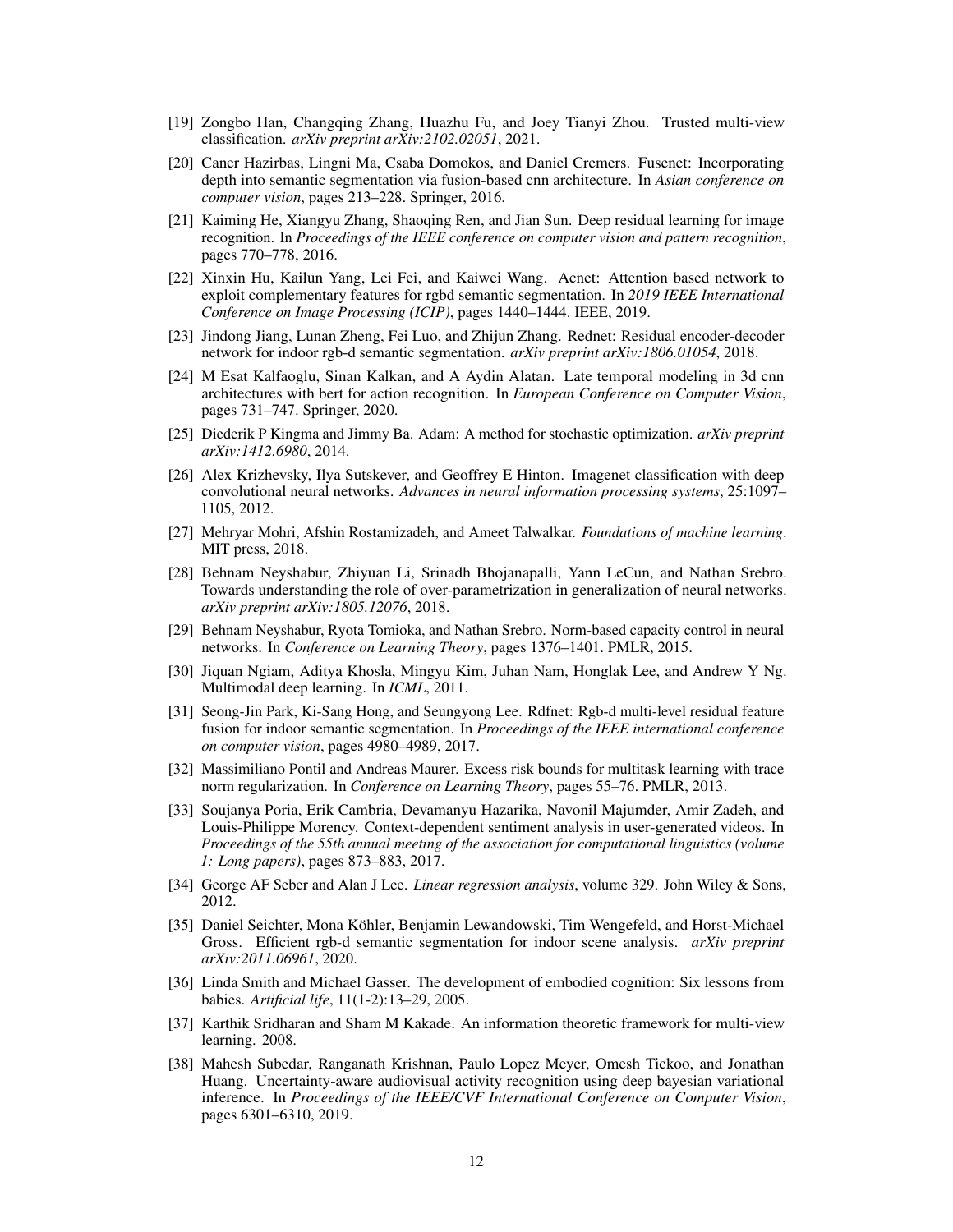- <span id="page-11-18"></span>[19] Zongbo Han, Changqing Zhang, Huazhu Fu, and Joey Tianyi Zhou. Trusted multi-view classification. *arXiv preprint arXiv:2102.02051*, 2021.
- <span id="page-11-4"></span>[20] Caner Hazirbas, Lingni Ma, Csaba Domokos, and Daniel Cremers. Fusenet: Incorporating depth into semantic segmentation via fusion-based cnn architecture. In *Asian conference on computer vision*, pages 213–228. Springer, 2016.
- <span id="page-11-2"></span>[21] Kaiming He, Xiangyu Zhang, Shaoqing Ren, and Jian Sun. Deep residual learning for image recognition. In *Proceedings of the IEEE conference on computer vision and pattern recognition*, pages 770–778, 2016.
- <span id="page-11-8"></span>[22] Xinxin Hu, Kailun Yang, Lei Fei, and Kaiwei Wang. Acnet: Attention based network to exploit complementary features for rgbd semantic segmentation. In *2019 IEEE International Conference on Image Processing (ICIP)*, pages 1440–1444. IEEE, 2019.
- <span id="page-11-7"></span>[23] Jindong Jiang, Lunan Zheng, Fei Luo, and Zhijun Zhang. Rednet: Residual encoder-decoder network for indoor rgb-d semantic segmentation. *arXiv preprint arXiv:1806.01054*, 2018.
- <span id="page-11-6"></span>[24] M Esat Kalfaoglu, Sinan Kalkan, and A Aydin Alatan. Late temporal modeling in 3d cnn architectures with bert for action recognition. In *European Conference on Computer Vision*, pages 731–747. Springer, 2020.
- <span id="page-11-17"></span>[25] Diederik P Kingma and Jimmy Ba. Adam: A method for stochastic optimization. *arXiv preprint arXiv:1412.6980*, 2014.
- <span id="page-11-1"></span>[26] Alex Krizhevsky, Ilya Sutskever, and Geoffrey E Hinton. Imagenet classification with deep convolutional neural networks. *Advances in neural information processing systems*, 25:1097– 1105, 2012.
- <span id="page-11-12"></span>[27] Mehryar Mohri, Afshin Rostamizadeh, and Ameet Talwalkar. *Foundations of machine learning*. MIT press, 2018.
- <span id="page-11-14"></span>[28] Behnam Neyshabur, Zhiyuan Li, Srinadh Bhojanapalli, Yann LeCun, and Nathan Srebro. Towards understanding the role of over-parametrization in generalization of neural networks. *arXiv preprint arXiv:1805.12076*, 2018.
- <span id="page-11-15"></span>[29] Behnam Neyshabur, Ryota Tomioka, and Nathan Srebro. Norm-based capacity control in neural networks. In *Conference on Learning Theory*, pages 1376–1401. PMLR, 2015.
- <span id="page-11-5"></span>[30] Jiquan Ngiam, Aditya Khosla, Mingyu Kim, Juhan Nam, Honglak Lee, and Andrew Y Ng. Multimodal deep learning. In *ICML*, 2011.
- <span id="page-11-9"></span>[31] Seong-Jin Park, Ki-Sang Hong, and Seungyong Lee. Rdfnet: Rgb-d multi-level residual feature fusion for indoor semantic segmentation. In *Proceedings of the IEEE international conference on computer vision*, pages 4980–4989, 2017.
- <span id="page-11-11"></span>[32] Massimiliano Pontil and Andreas Maurer. Excess risk bounds for multitask learning with trace norm regularization. In *Conference on Learning Theory*, pages 55–76. PMLR, 2013.
- <span id="page-11-16"></span>[33] Soujanya Poria, Erik Cambria, Devamanyu Hazarika, Navonil Majumder, Amir Zadeh, and Louis-Philippe Morency. Context-dependent sentiment analysis in user-generated videos. In *Proceedings of the 55th annual meeting of the association for computational linguistics (volume 1: Long papers)*, pages 873–883, 2017.
- <span id="page-11-13"></span>[34] George AF Seber and Alan J Lee. *Linear regression analysis*, volume 329. John Wiley & Sons, 2012.
- <span id="page-11-3"></span>[35] Daniel Seichter, Mona Köhler, Benjamin Lewandowski, Tim Wengefeld, and Horst-Michael Gross. Efficient rgb-d semantic segmentation for indoor scene analysis. *arXiv preprint arXiv:2011.06961*, 2020.
- <span id="page-11-0"></span>[36] Linda Smith and Michael Gasser. The development of embodied cognition: Six lessons from babies. *Artificial life*, 11(1-2):13–29, 2005.
- <span id="page-11-10"></span>[37] Karthik Sridharan and Sham M Kakade. An information theoretic framework for multi-view learning. 2008.
- <span id="page-11-19"></span>[38] Mahesh Subedar, Ranganath Krishnan, Paulo Lopez Meyer, Omesh Tickoo, and Jonathan Huang. Uncertainty-aware audiovisual activity recognition using deep bayesian variational inference. In *Proceedings of the IEEE/CVF International Conference on Computer Vision*, pages 6301–6310, 2019.